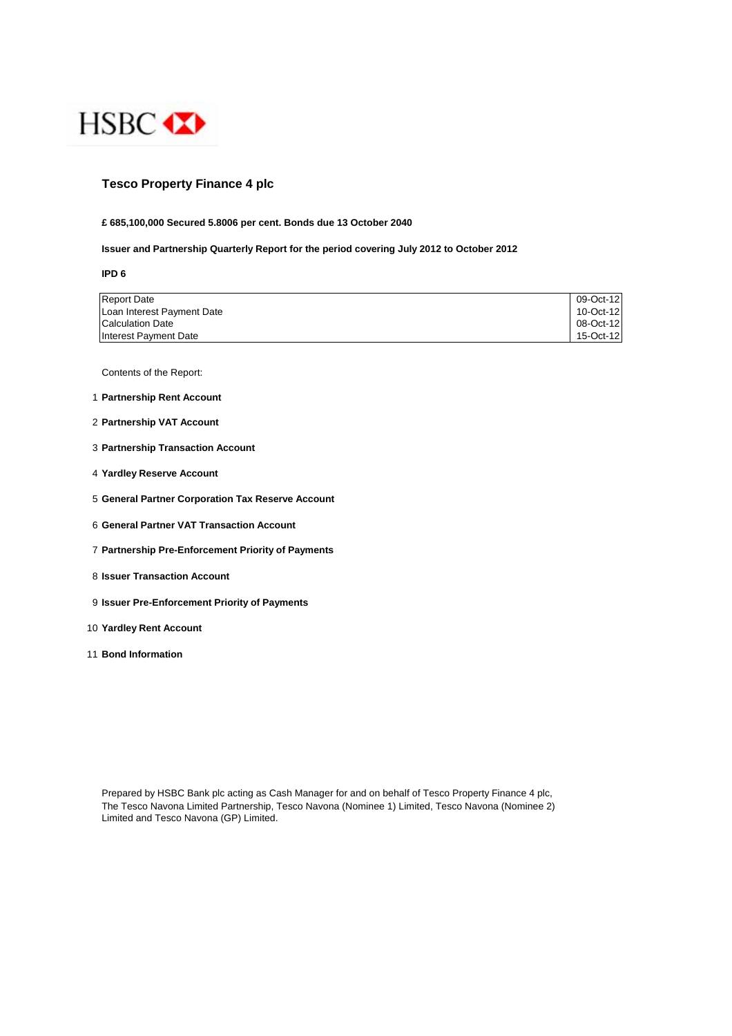

## **Tesco Property Finance 4 plc**

#### **£ 685,100,000 Secured 5.8006 per cent. Bonds due 13 October 2040**

#### **Issuer and Partnership Quarterly Report for the period covering July 2012 to October 2012**

**IPD 6**

| <b>Report Date</b>         | 09-Oct-12 |
|----------------------------|-----------|
| Loan Interest Payment Date | 10-Oct-12 |
| <b>Calculation Date</b>    | 08-Oct-12 |
| Interest Payment Date      | 15-Oct-12 |

Contents of the Report:

- 1 **Partnership Rent Account**
- 2 **Partnership VAT Account**
- 3 **Partnership Transaction Account**
- 4 **Yardley Reserve Account**
- 5 **General Partner Corporation Tax Reserve Account**
- 6 **General Partner VAT Transaction Account**
- 7 **Partnership Pre-Enforcement Priority of Payments**
- 8 **Issuer Transaction Account**
- 9 **Issuer Pre-Enforcement Priority of Payments**
- 10 **Yardley Rent Account**
- 11 **Bond Information**

Prepared by HSBC Bank plc acting as Cash Manager for and on behalf of Tesco Property Finance 4 plc, The Tesco Navona Limited Partnership, Tesco Navona (Nominee 1) Limited, Tesco Navona (Nominee 2) Limited and Tesco Navona (GP) Limited.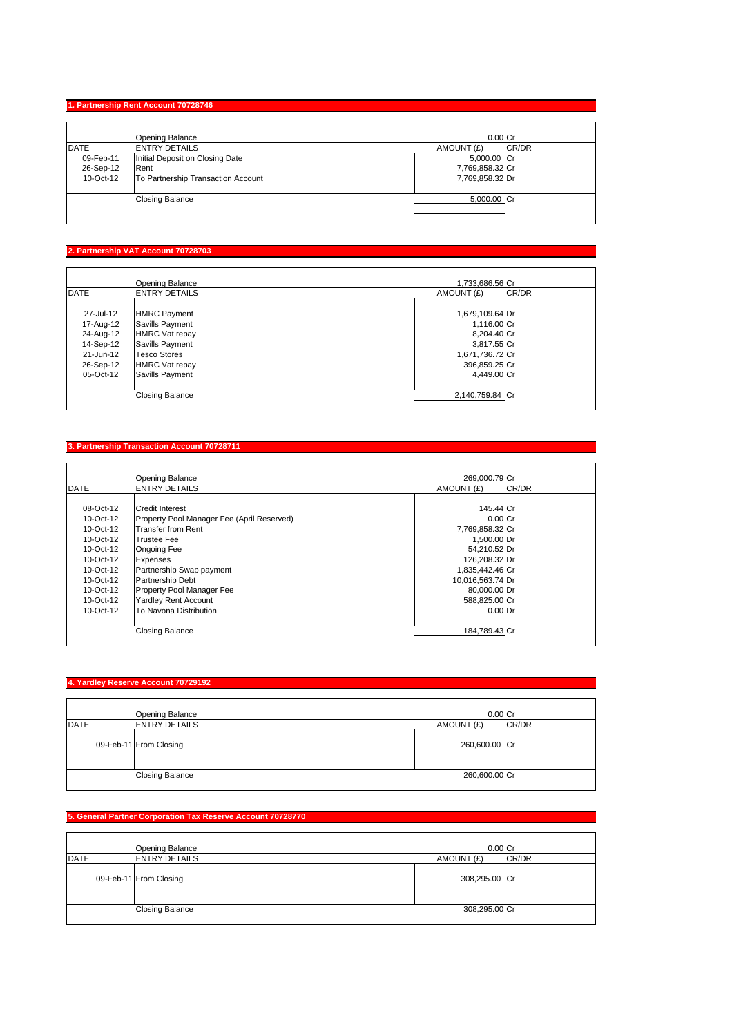## **1. Partnership Rent Account 70728746**

|             | <b>Opening Balance</b>             | $0.00$ Cr           |
|-------------|------------------------------------|---------------------|
| <b>DATE</b> | <b>ENTRY DETAILS</b>               | CR/DR<br>AMOUNT (£) |
| 09-Feb-11   | Initial Deposit on Closing Date    | 5,000.00 Cr         |
| 26-Sep-12   | Rent                               | 7,769,858.32 Cr     |
| 10-Oct-12   | To Partnership Transaction Account | 7,769,858.32 Dr     |
|             | <b>Closing Balance</b>             | 5,000.00 Cr         |

#### **2. Partnership VAT Account 70728703**

|             | Opening Balance       | 1.733.686.56 Cr     |  |
|-------------|-----------------------|---------------------|--|
| <b>DATE</b> | <b>ENTRY DETAILS</b>  | CR/DR<br>AMOUNT (£) |  |
| 27-Jul-12   | <b>HMRC Payment</b>   | 1,679,109.64 Dr     |  |
| 17-Aug-12   | Savills Payment       | 1,116.00 Cr         |  |
| 24-Aug-12   | <b>HMRC Vat repay</b> | 8,204.40 Cr         |  |
| 14-Sep-12   | Savills Payment       | 3,817.55 Cr         |  |
| 21-Jun-12   | <b>Tesco Stores</b>   | 1,671,736.72 Cr     |  |
| 26-Sep-12   | <b>HMRC Vat repay</b> | 396,859.25 Cr       |  |
| 05-Oct-12   | Savills Payment       | 4.449.00 Cr         |  |
|             | Closing Balance       | 2.140.759.84 Cr     |  |

# **3. Partnership Transaction Account 70728711**

|             | <b>Opening Balance</b>                     | 269.000.79 Cr    |       |
|-------------|--------------------------------------------|------------------|-------|
| <b>DATE</b> | <b>ENTRY DETAILS</b>                       | AMOUNT (£)       | CR/DR |
|             |                                            |                  |       |
| 08-Oct-12   | <b>Credit Interest</b>                     | 145.44 Cr        |       |
| 10-Oct-12   | Property Pool Manager Fee (April Reserved) | $0.00C$ r        |       |
| 10-Oct-12   | <b>Transfer from Rent</b>                  | 7,769,858.32 Cr  |       |
| 10-Oct-12   | <b>Trustee Fee</b>                         | 1,500.00 Dr      |       |
| 10-Oct-12   | <b>Ongoing Fee</b>                         | 54,210.52 Dr     |       |
| 10-Oct-12   | Expenses                                   | 126,208.32 Dr    |       |
| 10-Oct-12   | Partnership Swap payment                   | 1,835,442.46 Cr  |       |
| 10-Oct-12   | <b>Partnership Debt</b>                    | 10,016,563.74 Dr |       |
| 10-Oct-12   | Property Pool Manager Fee                  | 80,000.00 Dr     |       |
| 10-Oct-12   | <b>Yardley Rent Account</b>                | 588,825.00 Cr    |       |
| 10-Oct-12   | To Navona Distribution                     | $0.00$ Dr        |       |
|             | <b>Closing Balance</b>                     | 184,789.43 Cr    |       |

# **4. Yardley Reserve Account 70729192**

|             | Opening Balance        | $0.00$ Cr     |       |
|-------------|------------------------|---------------|-------|
| <b>DATE</b> | <b>ENTRY DETAILS</b>   | AMOUNT (£)    | CR/DR |
|             | 09-Feb-11 From Closing | 260,600.00 Cr |       |
|             | <b>Closing Balance</b> | 260,600.00 Cr |       |

## **5. General Partner Corporation Tax Reserve Account 70728770**

|             | Opening Balance        | $0.00$ Cr     |       |
|-------------|------------------------|---------------|-------|
| <b>DATE</b> | <b>ENTRY DETAILS</b>   | AMOUNT (£)    | CR/DR |
|             | 09-Feb-11 From Closing | 308,295.00 Cr |       |
|             | <b>Closing Balance</b> | 308,295.00 Cr |       |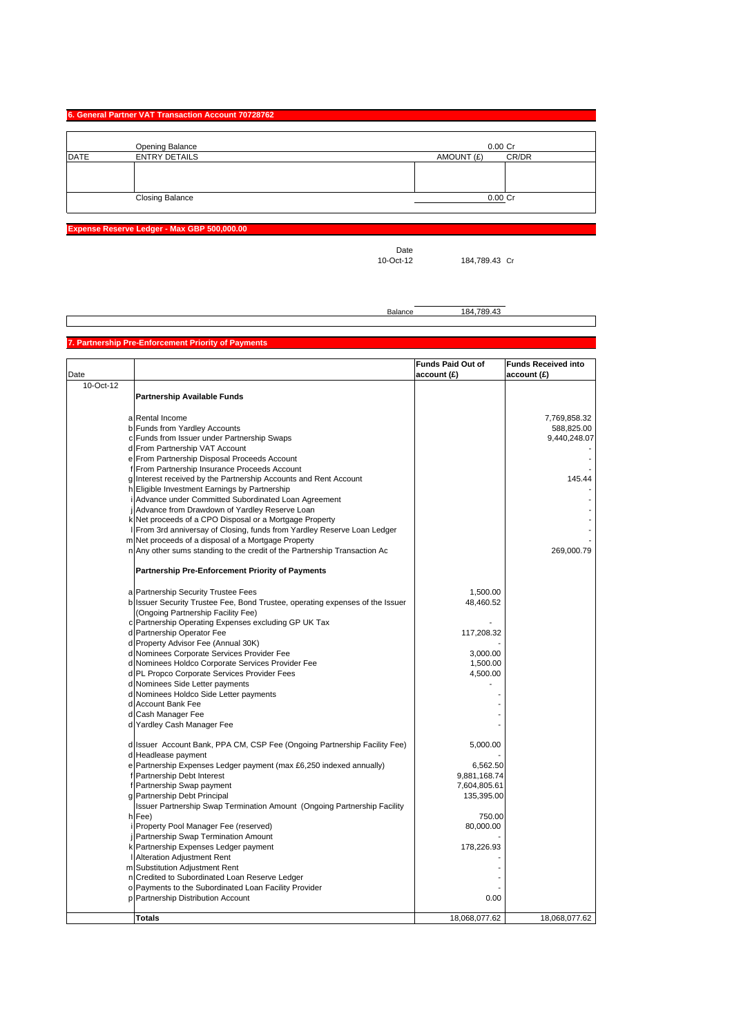#### **6. General Partner VAT Transaction Account 70728762**

|             | Opening Balance        | $0.00$ Cr           |
|-------------|------------------------|---------------------|
| <b>DATE</b> | <b>ENTRY DETAILS</b>   | CR/DR<br>AMOUNT (£) |
|             |                        |                     |
|             |                        |                     |
|             |                        |                     |
|             | <b>Closing Balance</b> | $0.00$ Cr           |
|             |                        |                     |

**Expense Reserve Ledger - Max GBP 500,000.00**

Date<br>10-Oct-12

184,789.43 Cr

Balance 184,789.43

#### **Partnership Pre-Enforcement Priority of Payment**

| Date<br>account (£)<br>account (£)                                                                                  |               |
|---------------------------------------------------------------------------------------------------------------------|---------------|
|                                                                                                                     |               |
| 10-Oct-12                                                                                                           |               |
| <b>Partnership Available Funds</b>                                                                                  |               |
|                                                                                                                     |               |
| a Rental Income                                                                                                     | 7,769,858.32  |
| b Funds from Yardley Accounts                                                                                       | 588,825.00    |
| c Funds from Issuer under Partnership Swaps                                                                         | 9,440,248.07  |
| d From Partnership VAT Account                                                                                      |               |
| e From Partnership Disposal Proceeds Account                                                                        |               |
| f From Partnership Insurance Proceeds Account                                                                       |               |
| g Interest received by the Partnership Accounts and Rent Account                                                    | 145.44        |
| h Eligible Investment Earnings by Partnership                                                                       |               |
| i Advance under Committed Subordinated Loan Agreement                                                               |               |
| Advance from Drawdown of Yardley Reserve Loan                                                                       |               |
| k Net proceeds of a CPO Disposal or a Mortgage Property                                                             |               |
| I From 3rd anniversay of Closing, funds from Yardley Reserve Loan Ledger                                            |               |
| m Net proceeds of a disposal of a Mortgage Property                                                                 |               |
| n Any other sums standing to the credit of the Partnership Transaction Ac                                           | 269,000.79    |
|                                                                                                                     |               |
| <b>Partnership Pre-Enforcement Priority of Payments</b>                                                             |               |
|                                                                                                                     |               |
| a Partnership Security Trustee Fees<br>1,500.00                                                                     |               |
| 48,460.52                                                                                                           |               |
| b Issuer Security Trustee Fee, Bond Trustee, operating expenses of the Issuer<br>(Ongoing Partnership Facility Fee) |               |
|                                                                                                                     |               |
| c Partnership Operating Expenses excluding GP UK Tax                                                                |               |
| d Partnership Operator Fee<br>117,208.32                                                                            |               |
| d Property Advisor Fee (Annual 30K)                                                                                 |               |
| d Nominees Corporate Services Provider Fee<br>3,000.00                                                              |               |
| d Nominees Holdco Corporate Services Provider Fee<br>1,500.00                                                       |               |
| d PL Propco Corporate Services Provider Fees<br>4,500.00                                                            |               |
| d Nominees Side Letter payments                                                                                     |               |
| d Nominees Holdco Side Letter payments                                                                              |               |
| d Account Bank Fee                                                                                                  |               |
| d Cash Manager Fee                                                                                                  |               |
| d Yardley Cash Manager Fee                                                                                          |               |
|                                                                                                                     |               |
| d Issuer Account Bank, PPA CM, CSP Fee (Ongoing Partnership Facility Fee)<br>5,000.00                               |               |
| d Headlease payment                                                                                                 |               |
| e Partnership Expenses Ledger payment (max £6,250 indexed annually)<br>6,562.50                                     |               |
| Partnership Debt Interest<br>9,881,168.74<br>f                                                                      |               |
| f Partnership Swap payment<br>7,604,805.61                                                                          |               |
| g Partnership Debt Principal<br>135,395.00                                                                          |               |
| Issuer Partnership Swap Termination Amount (Ongoing Partnership Facility                                            |               |
| h Fee)<br>750.00                                                                                                    |               |
| Property Pool Manager Fee (reserved)<br>80,000.00                                                                   |               |
| Partnership Swap Termination Amount                                                                                 |               |
| k Partnership Expenses Ledger payment<br>178,226.93                                                                 |               |
| I Alteration Adjustment Rent                                                                                        |               |
| m Substitution Adjustment Rent                                                                                      |               |
| n Credited to Subordinated Loan Reserve Ledger                                                                      |               |
| o Payments to the Subordinated Loan Facility Provider                                                               |               |
| p Partnership Distribution Account<br>0.00                                                                          |               |
|                                                                                                                     |               |
| <b>Totals</b><br>18,068,077.62                                                                                      | 18,068,077.62 |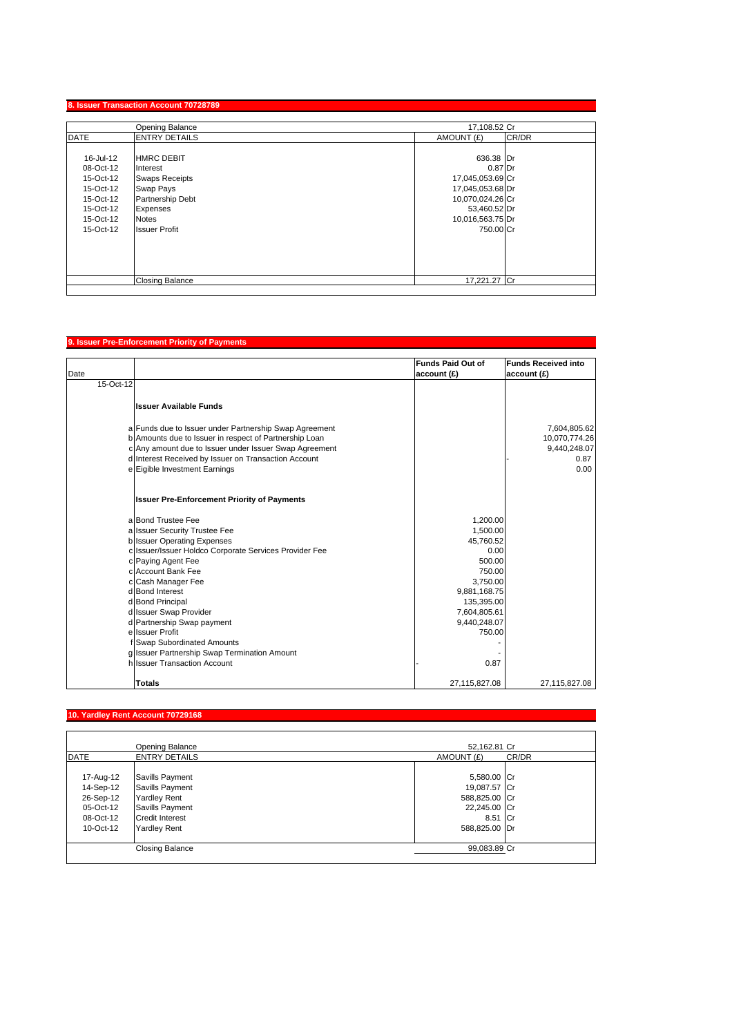## **8. Issuer Transaction Account 70728789**

|           | Opening Balance        | 17,108.52 Cr     |       |
|-----------|------------------------|------------------|-------|
| DATE      | <b>ENTRY DETAILS</b>   | AMOUNT (£)       | CR/DR |
|           |                        |                  |       |
| 16-Jul-12 | <b>HMRC DEBIT</b>      | 636.38 Dr        |       |
| 08-Oct-12 | Interest               | 0.87 Dr          |       |
| 15-Oct-12 | <b>Swaps Receipts</b>  | 17,045,053.69 Cr |       |
| 15-Oct-12 | Swap Pays              | 17,045,053.68 Dr |       |
| 15-Oct-12 | Partnership Debt       | 10,070,024.26 Cr |       |
| 15-Oct-12 | Expenses               | 53,460.52 Dr     |       |
| 15-Oct-12 | <b>Notes</b>           | 10,016,563.75 Dr |       |
| 15-Oct-12 | <b>Issuer Profit</b>   | 750.00 Cr        |       |
|           |                        |                  |       |
|           |                        |                  |       |
|           |                        |                  |       |
|           |                        |                  |       |
|           | <b>Closing Balance</b> | 17,221.27 Cr     |       |

## **9. Issuer Pre-Enforcement Priority of Payments**

| Date      |                                                                                                                  | <b>Funds Paid Out of</b><br>account (£) | <b>Funds Received into</b><br>account (£) |
|-----------|------------------------------------------------------------------------------------------------------------------|-----------------------------------------|-------------------------------------------|
| 15-Oct-12 |                                                                                                                  |                                         |                                           |
|           | <b>Issuer Available Funds</b>                                                                                    |                                         |                                           |
|           | a Funds due to Issuer under Partnership Swap Agreement                                                           |                                         | 7,604,805.62                              |
|           | b Amounts due to Issuer in respect of Partnership Loan<br>c Any amount due to Issuer under Issuer Swap Agreement |                                         | 10,070,774.26<br>9,440,248.07             |
|           | d Interest Received by Issuer on Transaction Account                                                             |                                         | 0.87                                      |
|           | e Eigible Investment Earnings                                                                                    |                                         | 0.00                                      |
|           | <b>Issuer Pre-Enforcement Priority of Payments</b>                                                               |                                         |                                           |
|           | a Bond Trustee Fee                                                                                               | 1,200.00                                |                                           |
|           | a Issuer Security Trustee Fee                                                                                    | 1,500.00                                |                                           |
|           | b Issuer Operating Expenses                                                                                      | 45,760.52                               |                                           |
|           | c Issuer/Issuer Holdco Corporate Services Provider Fee                                                           | 0.00                                    |                                           |
|           | c Paying Agent Fee                                                                                               | 500.00                                  |                                           |
|           | cl Account Bank Fee                                                                                              | 750.00                                  |                                           |
|           | c Cash Manager Fee                                                                                               | 3.750.00                                |                                           |
|           | d Bond Interest                                                                                                  | 9,881,168.75                            |                                           |
|           | d Bond Principal                                                                                                 | 135,395.00                              |                                           |
|           | d Issuer Swap Provider                                                                                           | 7,604,805.61                            |                                           |
|           | d Partnership Swap payment<br>e Issuer Profit                                                                    | 9,440,248.07<br>750.00                  |                                           |
|           | f Swap Subordinated Amounts                                                                                      |                                         |                                           |
|           | g Issuer Partnership Swap Termination Amount                                                                     |                                         |                                           |
|           | h Issuer Transaction Account                                                                                     | 0.87                                    |                                           |
|           | Totals                                                                                                           | 27,115,827.08                           | 27,115,827.08                             |

# **10. Yardley Rent Account 70729168**

|             | Opening Balance        | 52,162.81 Cr        |  |
|-------------|------------------------|---------------------|--|
| <b>DATE</b> | <b>ENTRY DETAILS</b>   | AMOUNT (£)<br>CR/DR |  |
|             |                        |                     |  |
| 17-Aug-12   | Savills Payment        | 5,580.00 Cr         |  |
| 14-Sep-12   | Savills Payment        | 19,087.57 Cr        |  |
| 26-Sep-12   | <b>Yardley Rent</b>    | 588,825.00 Cr       |  |
| 05-Oct-12   | Savills Payment        | 22,245.00 Cr        |  |
| 08-Oct-12   | <b>Credit Interest</b> | 8.51 Cr             |  |
| 10-Oct-12   | <b>Yardley Rent</b>    | 588,825.00 Dr       |  |
|             | <b>Closing Balance</b> | 99,083.89 Cr        |  |